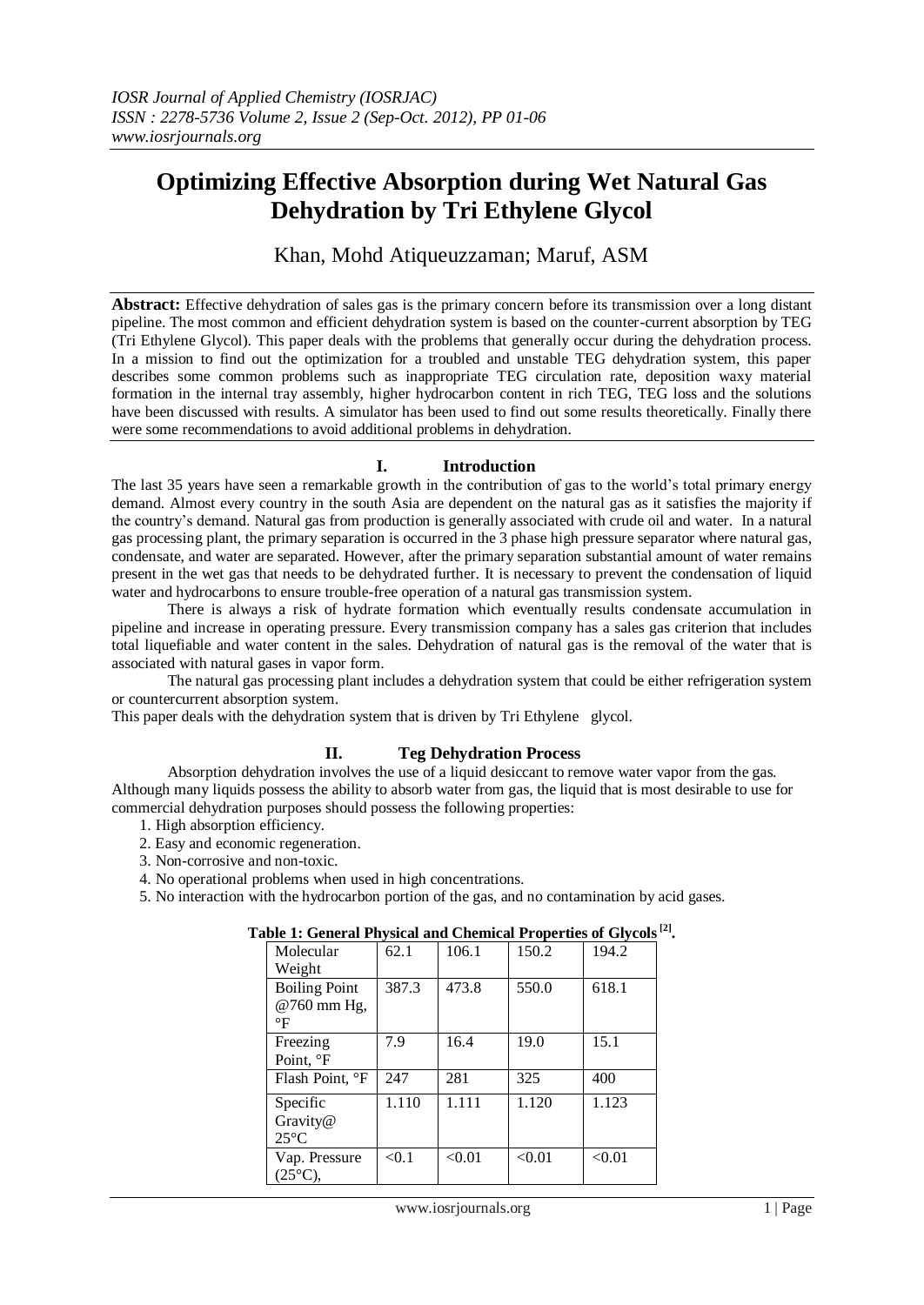# **Optimizing Effective Absorption during Wet Natural Gas Dehydration by Tri Ethylene Glycol**

Khan, Mohd Atiqueuzzaman; Maruf, ASM

**Abstract:** Effective dehydration of sales gas is the primary concern before its transmission over a long distant pipeline. The most common and efficient dehydration system is based on the counter-current absorption by TEG (Tri Ethylene Glycol). This paper deals with the problems that generally occur during the dehydration process. In a mission to find out the optimization for a troubled and unstable TEG dehydration system, this paper describes some common problems such as inappropriate TEG circulation rate, deposition waxy material formation in the internal tray assembly, higher hydrocarbon content in rich TEG, TEG loss and the solutions have been discussed with results. A simulator has been used to find out some results theoretically. Finally there were some recommendations to avoid additional problems in dehydration.

## **I. Introduction**

The last 35 years have seen a remarkable growth in the contribution of gas to the world's total primary energy demand. Almost every country in the south Asia are dependent on the natural gas as it satisfies the majority if the country's demand. Natural gas from production is generally associated with crude oil and water. In a natural gas processing plant, the primary separation is occurred in the 3 phase high pressure separator where natural gas, condensate, and water are separated. However, after the primary separation substantial amount of water remains present in the wet gas that needs to be dehydrated further. It is necessary to prevent the condensation of liquid water and hydrocarbons to ensure trouble-free operation of a natural gas transmission system.

There is always a risk of hydrate formation which eventually results condensate accumulation in pipeline and increase in operating pressure. Every transmission company has a sales gas criterion that includes total liquefiable and water content in the sales. Dehydration of natural gas is the removal of the water that is associated with natural gases in vapor form.

The natural gas processing plant includes a dehydration system that could be either refrigeration system or countercurrent absorption system.

This paper deals with the dehydration system that is driven by Tri Ethylene glycol.

## **II. Teg Dehydration Process**

Absorption dehydration involves the use of a liquid desiccant to remove water vapor from the gas. Although many liquids possess the ability to absorb water from gas, the liquid that is most desirable to use for commercial dehydration purposes should possess the following properties:

- 1. High absorption efficiency.
- 2. Easy and economic regeneration.
- 3. Non-corrosive and non-toxic.
- 4. No operational problems when used in high concentrations.

5. No interaction with the hydrocarbon portion of the gas, and no contamination by acid gases.

| one 11 Seneral 1 hypical and Chemical 11 operator of Stycols |       |        |        |        |
|--------------------------------------------------------------|-------|--------|--------|--------|
| Molecular                                                    | 62.1  | 106.1  | 150.2  | 194.2  |
| Weight                                                       |       |        |        |        |
| <b>Boiling Point</b>                                         | 387.3 | 473.8  | 550.0  | 618.1  |
| @760 mm Hg,                                                  |       |        |        |        |
| $\mathsf{P}$                                                 |       |        |        |        |
| Freezing                                                     | 7.9   | 16.4   | 19.0   | 15.1   |
| Point, <sup>o</sup> F                                        |       |        |        |        |
| Flash Point, °F                                              | 247   | 281    | 325    | 400    |
| Specific                                                     | 1.110 | 1.111  | 1.120  | 1.123  |
| Gravity@                                                     |       |        |        |        |
| $25^{\circ}$ C                                               |       |        |        |        |
| Vap. Pressure                                                | < 0.1 | < 0.01 | < 0.01 | < 0.01 |
| $(25^{\circ}C),$                                             |       |        |        |        |

# **Table 1: General Physical and Chemical Properties of Glycols[2] .**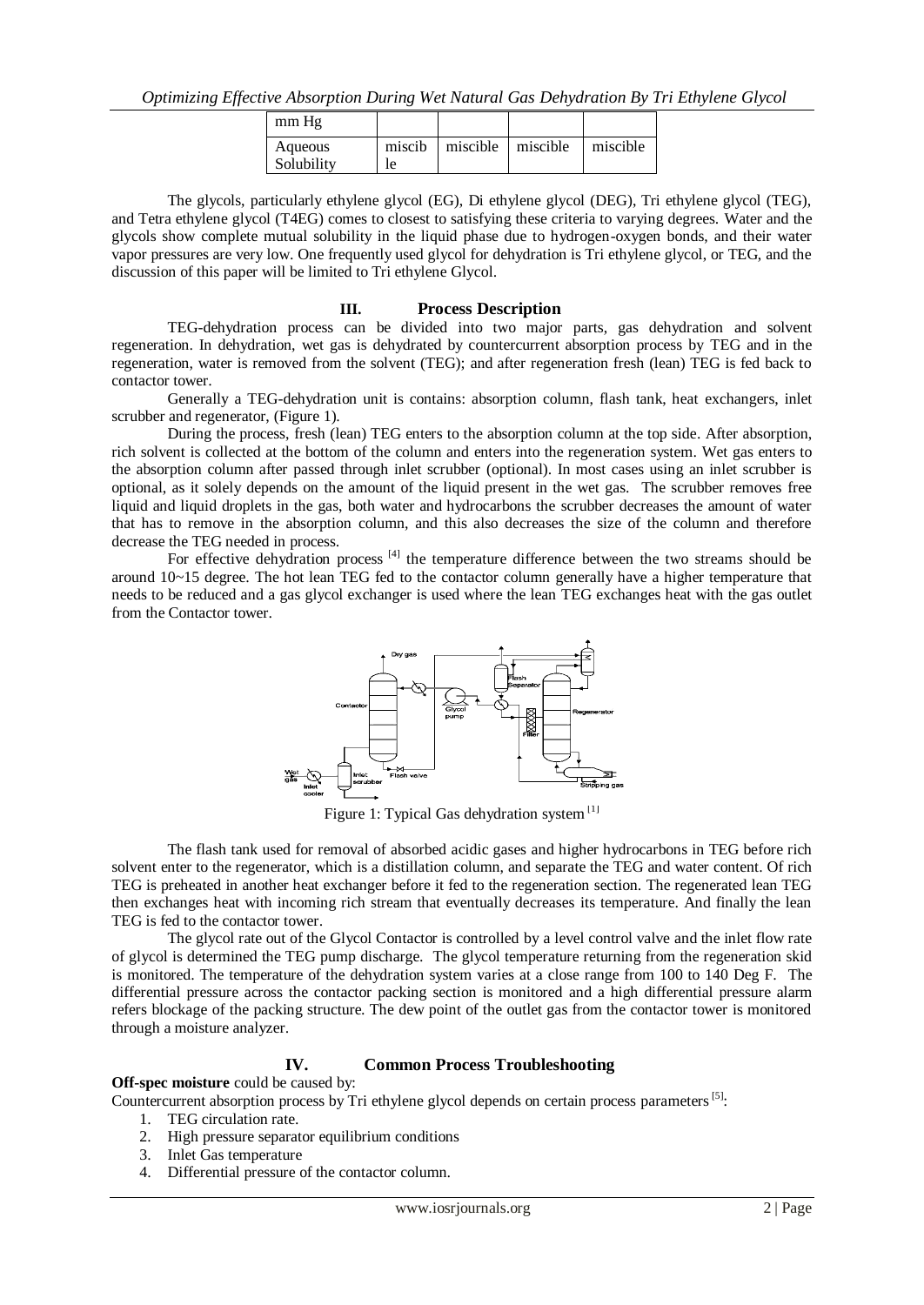| mm Hg                 |              |          |          |            |
|-----------------------|--------------|----------|----------|------------|
| Aqueous<br>Solubility | miscib<br>le | miscible | miscible | l miscible |

The glycols, particularly ethylene glycol (EG), Di ethylene glycol (DEG), Tri ethylene glycol (TEG), and Tetra ethylene glycol (T4EG) comes to closest to satisfying these criteria to varying degrees. Water and the glycols show complete mutual solubility in the liquid phase due to hydrogen-oxygen bonds, and their water vapor pressures are very low. One frequently used glycol for dehydration is Tri ethylene glycol, or TEG, and the discussion of this paper will be limited to Tri ethylene Glycol.

#### **III. Process Description**

TEG-dehydration process can be divided into two major parts, gas dehydration and solvent regeneration. In dehydration, wet gas is dehydrated by countercurrent absorption process by TEG and in the regeneration, water is removed from the solvent (TEG); and after regeneration fresh (lean) TEG is fed back to contactor tower.

Generally a TEG-dehydration unit is contains: absorption column, flash tank, heat exchangers, inlet scrubber and regenerator, (Figure 1).

During the process, fresh (lean) TEG enters to the absorption column at the top side. After absorption, rich solvent is collected at the bottom of the column and enters into the regeneration system. Wet gas enters to the absorption column after passed through inlet scrubber (optional). In most cases using an inlet scrubber is optional, as it solely depends on the amount of the liquid present in the wet gas. The scrubber removes free liquid and liquid droplets in the gas, both water and hydrocarbons the scrubber decreases the amount of water that has to remove in the absorption column, and this also decreases the size of the column and therefore decrease the TEG needed in process.

For effective dehydration process  $[4]$  the temperature difference between the two streams should be around 10~15 degree. The hot lean TEG fed to the contactor column generally have a higher temperature that needs to be reduced and a gas glycol exchanger is used where the lean TEG exchanges heat with the gas outlet from the Contactor tower.



Figure 1: Typical Gas dehydration system<sup>[1]</sup>

The flash tank used for removal of absorbed acidic gases and higher hydrocarbons in TEG before rich solvent enter to the regenerator, which is a distillation column, and separate the TEG and water content. Of rich TEG is preheated in another heat exchanger before it fed to the regeneration section. The regenerated lean TEG then exchanges heat with incoming rich stream that eventually decreases its temperature. And finally the lean TEG is fed to the contactor tower.

The glycol rate out of the Glycol Contactor is controlled by a level control valve and the inlet flow rate of glycol is determined the TEG pump discharge. The glycol temperature returning from the regeneration skid is monitored. The temperature of the dehydration system varies at a close range from 100 to 140 Deg F. The differential pressure across the contactor packing section is monitored and a high differential pressure alarm refers blockage of the packing structure. The dew point of the outlet gas from the contactor tower is monitored through a moisture analyzer.

#### **IV. Common Process Troubleshooting**

**Off-spec moisture** could be caused by:

Countercurrent absorption process by Tri ethylene glycol depends on certain process parameters<sup>[5]</sup>:

- 1. TEG circulation rate.
- 2. High pressure separator equilibrium conditions
- 3. Inlet Gas temperature
- 4. Differential pressure of the contactor column.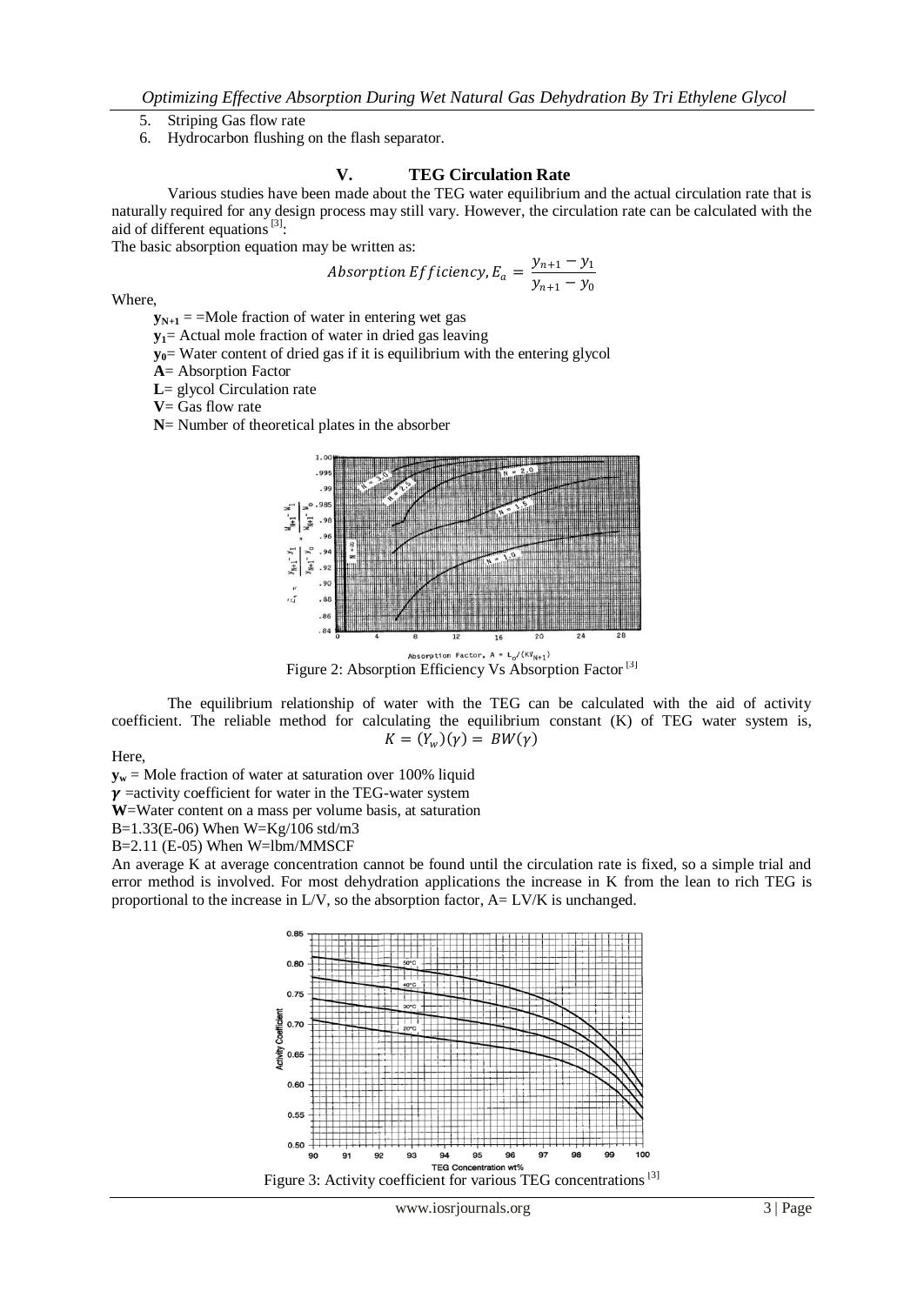- 5. Striping Gas flow rate
- 6. Hydrocarbon flushing on the flash separator.

# **V. TEG Circulation Rate**

Various studies have been made about the TEG water equilibrium and the actual circulation rate that is naturally required for any design process may still vary. However, the circulation rate can be calculated with the aid of different equations<sup>[3]</sup>:

The basic absorption equation may be written as:

*Absorption Efficiency*, 
$$
E_a = \frac{y_{n+1} - y_1}{y_{n+1} - y_0}
$$

Where,

- $y_{N+1}$  = =Mole fraction of water in entering wet gas
- **y1**= Actual mole fraction of water in dried gas leaving
- **y0**= Water content of dried gas if it is equilibrium with the entering glycol
- **A**= Absorption Factor
- **L**= glycol Circulation rate
- **V**= Gas flow rate
- **N**= Number of theoretical plates in the absorber



Absorption Factor,  $A = L_0/(KV_{N+1})$ <br>Figure 2: Absorption Efficiency Vs Absorption Factor <sup>[3]</sup>

The equilibrium relationship of water with the TEG can be calculated with the aid of activity coefficient. The reliable method for calculating the equilibrium constant (K) of TEG water system is,  $K = (Y_w)(\gamma) = BW(\gamma)$ 

Here,

 $y_w$  = Mole fraction of water at saturation over 100% liquid

 $\gamma$  =activity coefficient for water in the TEG-water system

**W**=Water content on a mass per volume basis, at saturation

B=1.33(E-06) When W=Kg/106 std/m3

B=2.11 (E-05) When W=lbm/MMSCF

An average K at average concentration cannot be found until the circulation rate is fixed, so a simple trial and error method is involved. For most dehydration applications the increase in K from the lean to rich TEG is proportional to the increase in L/V, so the absorption factor, A= LV/K is unchanged.

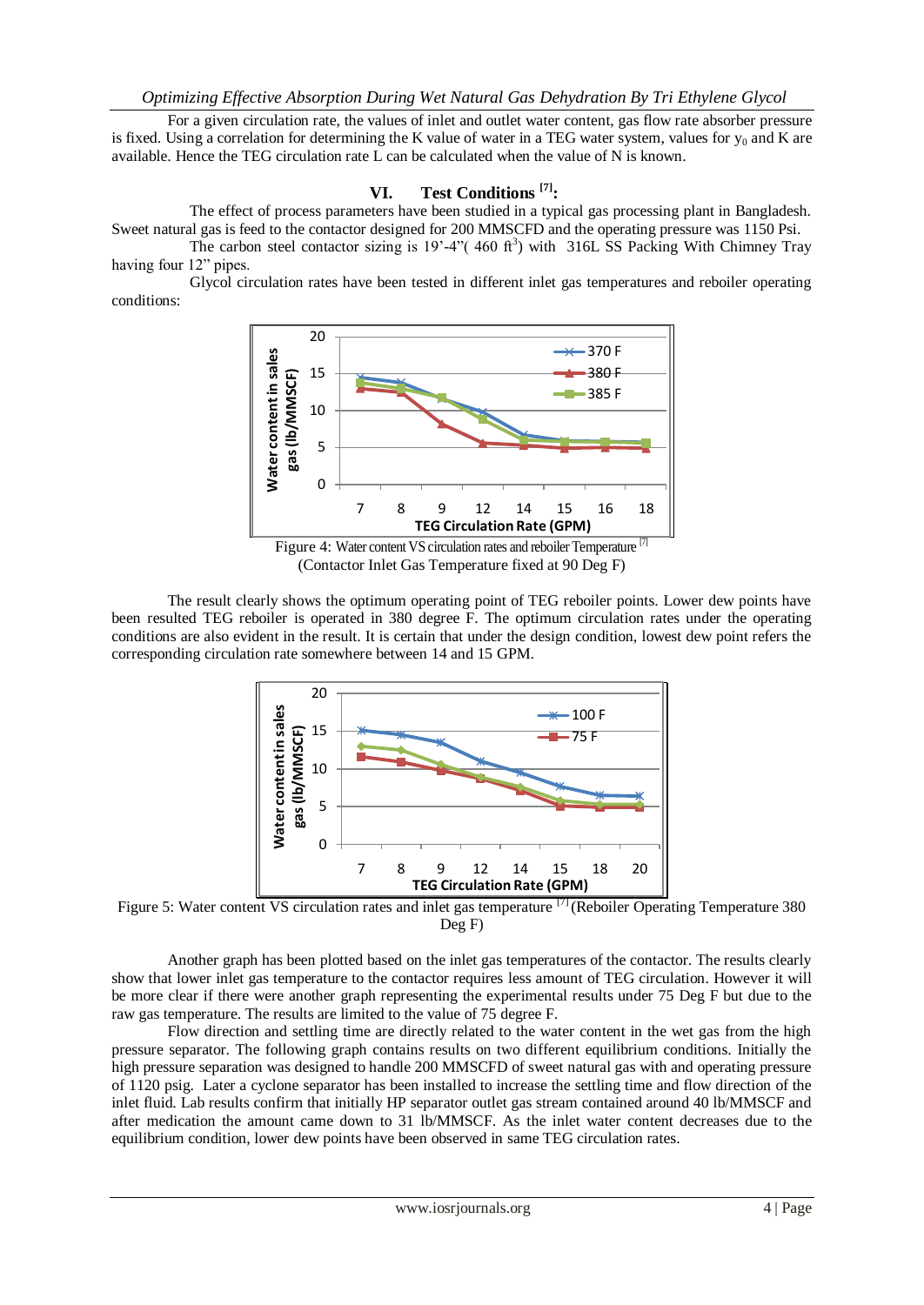For a given circulation rate, the values of inlet and outlet water content, gas flow rate absorber pressure is fixed. Using a correlation for determining the K value of water in a TEG water system, values for  $y_0$  and K are available. Hence the TEG circulation rate L can be calculated when the value of N is known.

# **VI. Test Conditions [7]:**

The effect of process parameters have been studied in a typical gas processing plant in Bangladesh. Sweet natural gas is feed to the contactor designed for 200 MMSCFD and the operating pressure was 1150 Psi.

The carbon steel contactor sizing is  $19' - 4''(460 \text{ ft}^3)$  with 316L SS Packing With Chimney Tray having four 12" pipes.

Glycol circulation rates have been tested in different inlet gas temperatures and reboiler operating conditions:



(Contactor Inlet Gas Temperature fixed at 90 Deg F)

The result clearly shows the optimum operating point of TEG reboiler points. Lower dew points have been resulted TEG reboiler is operated in 380 degree F. The optimum circulation rates under the operating conditions are also evident in the result. It is certain that under the design condition, lowest dew point refers the corresponding circulation rate somewhere between 14 and 15 GPM.



Figure 5: Water content VS circulation rates and inlet gas temperature <sup>[7]</sup> (Reboiler Operating Temperature 380 Deg F)

Another graph has been plotted based on the inlet gas temperatures of the contactor. The results clearly show that lower inlet gas temperature to the contactor requires less amount of TEG circulation. However it will be more clear if there were another graph representing the experimental results under 75 Deg F but due to the raw gas temperature. The results are limited to the value of 75 degree F.

Flow direction and settling time are directly related to the water content in the wet gas from the high pressure separator. The following graph contains results on two different equilibrium conditions. Initially the high pressure separation was designed to handle 200 MMSCFD of sweet natural gas with and operating pressure of 1120 psig. Later a cyclone separator has been installed to increase the settling time and flow direction of the inlet fluid. Lab results confirm that initially HP separator outlet gas stream contained around 40 lb/MMSCF and after medication the amount came down to 31 lb/MMSCF. As the inlet water content decreases due to the equilibrium condition, lower dew points have been observed in same TEG circulation rates.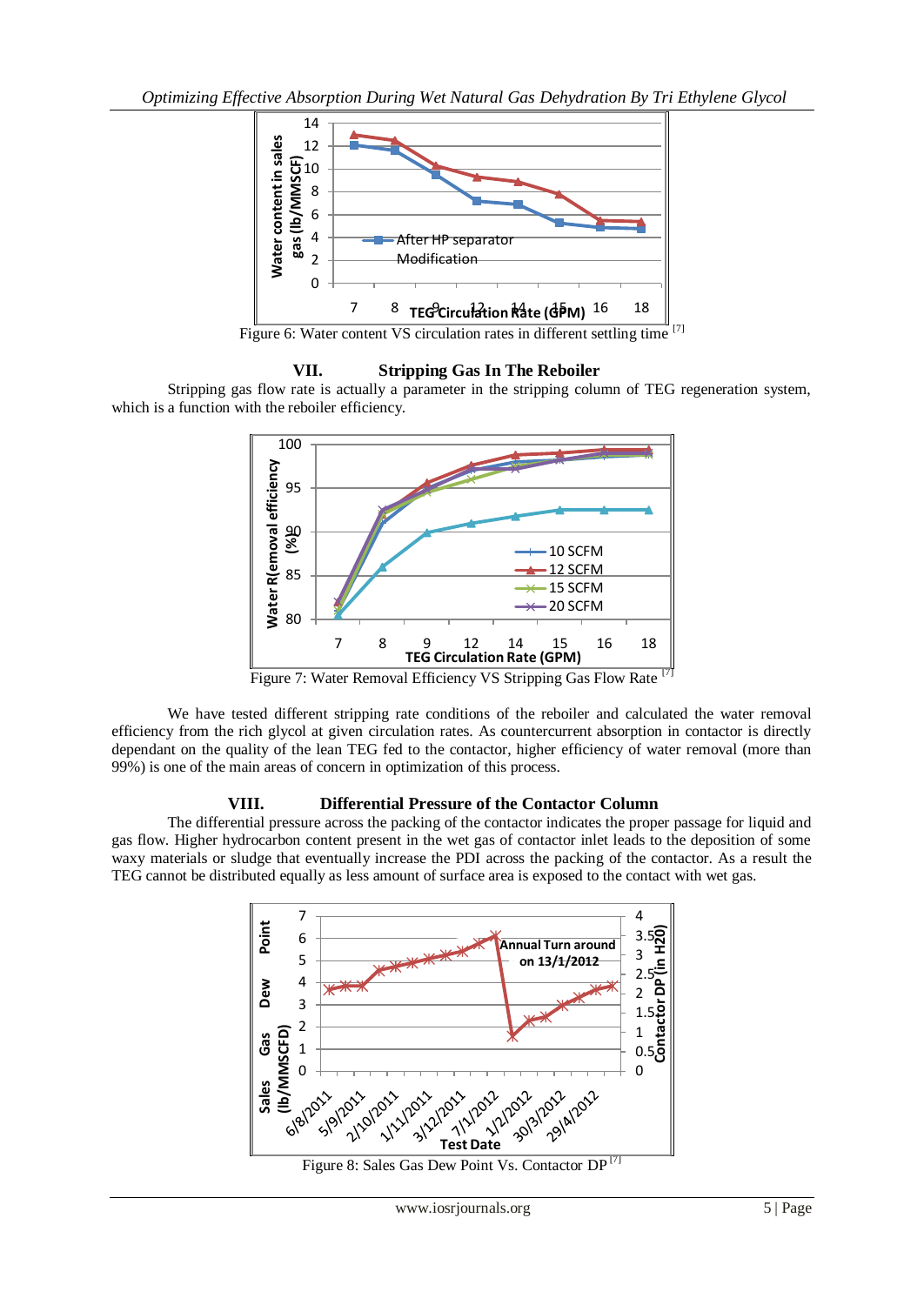

Figure 6: Water content VS circulation rates in different settling time [7]

# **VII. Stripping Gas In The Reboiler**

Stripping gas flow rate is actually a parameter in the stripping column of TEG regeneration system, which is a function with the reboiler efficiency.



Figure 7: Water Removal Efficiency VS Stripping Gas Flow Rate

We have tested different stripping rate conditions of the reboiler and calculated the water removal efficiency from the rich glycol at given circulation rates. As countercurrent absorption in contactor is directly dependant on the quality of the lean TEG fed to the contactor, higher efficiency of water removal (more than 99%) is one of the main areas of concern in optimization of this process.

# **VIII. Differential Pressure of the Contactor Column**

The differential pressure across the packing of the contactor indicates the proper passage for liquid and gas flow. Higher hydrocarbon content present in the wet gas of contactor inlet leads to the deposition of some waxy materials or sludge that eventually increase the PDI across the packing of the contactor. As a result the TEG cannot be distributed equally as less amount of surface area is exposed to the contact with wet gas.